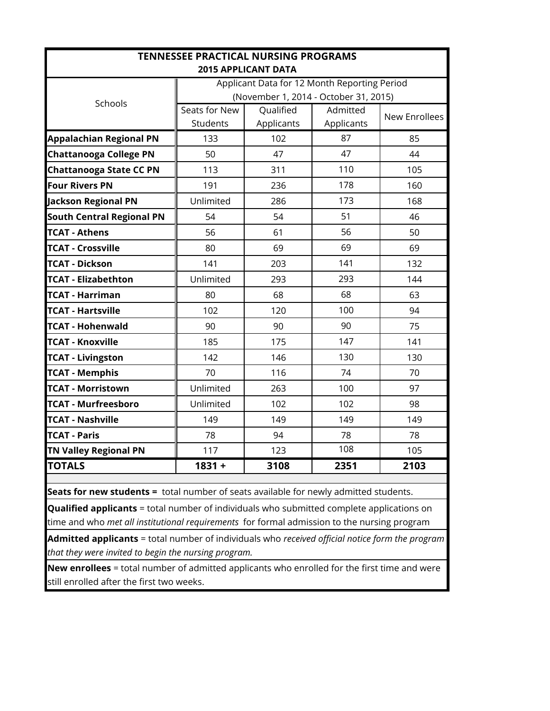| <b>TENNESSEE PRACTICAL NURSING PROGRAMS</b>                                |               |                                       |            |               |  |  |  |  |  |  |  |  |  |
|----------------------------------------------------------------------------|---------------|---------------------------------------|------------|---------------|--|--|--|--|--|--|--|--|--|
| <b>2015 APPLICANT DATA</b><br>Applicant Data for 12 Month Reporting Period |               |                                       |            |               |  |  |  |  |  |  |  |  |  |
|                                                                            |               |                                       |            |               |  |  |  |  |  |  |  |  |  |
| Schools                                                                    |               | (November 1, 2014 - October 31, 2015) |            |               |  |  |  |  |  |  |  |  |  |
|                                                                            | Seats for New | Qualified                             | Admitted   | New Enrollees |  |  |  |  |  |  |  |  |  |
|                                                                            | Students      | Applicants                            | Applicants |               |  |  |  |  |  |  |  |  |  |
| <b>Appalachian Regional PN</b>                                             | 133           | 102                                   | 87         | 85            |  |  |  |  |  |  |  |  |  |
| <b>Chattanooga College PN</b>                                              | 50            | 47                                    | 47         | 44            |  |  |  |  |  |  |  |  |  |
| <b>Chattanooga State CC PN</b>                                             | 113           | 311                                   | 110        | 105           |  |  |  |  |  |  |  |  |  |
| <b>Four Rivers PN</b>                                                      | 191           | 236                                   | 178        | 160           |  |  |  |  |  |  |  |  |  |
| <b>Jackson Regional PN</b>                                                 | Unlimited     | 286                                   | 173        | 168           |  |  |  |  |  |  |  |  |  |
| <b>South Central Regional PN</b>                                           | 54            | 54                                    | 51         | 46            |  |  |  |  |  |  |  |  |  |
| <b>TCAT - Athens</b>                                                       | 56            | 61                                    | 56         | 50            |  |  |  |  |  |  |  |  |  |
| <b>TCAT - Crossville</b>                                                   | 80            | 69                                    | 69         | 69            |  |  |  |  |  |  |  |  |  |
| <b>TCAT - Dickson</b>                                                      | 141           | 203                                   | 141        | 132           |  |  |  |  |  |  |  |  |  |
| <b>TCAT - Elizabethton</b>                                                 | Unlimited     | 293                                   | 293        | 144           |  |  |  |  |  |  |  |  |  |
| <b>TCAT - Harriman</b>                                                     | 80            | 68                                    | 68         | 63            |  |  |  |  |  |  |  |  |  |
| <b>TCAT - Hartsville</b>                                                   | 102           | 120                                   | 100        | 94            |  |  |  |  |  |  |  |  |  |
| <b>TCAT - Hohenwald</b>                                                    | 90            | 90                                    | 90         | 75            |  |  |  |  |  |  |  |  |  |
| <b>TCAT - Knoxville</b>                                                    | 185           | 175                                   | 147        | 141           |  |  |  |  |  |  |  |  |  |
| <b>TCAT - Livingston</b>                                                   | 142           | 146                                   | 130        | 130           |  |  |  |  |  |  |  |  |  |
| <b>TCAT - Memphis</b>                                                      | 70            | 116                                   | 74         | 70            |  |  |  |  |  |  |  |  |  |
| <b>TCAT - Morristown</b>                                                   | Unlimited     | 263                                   | 100        | 97            |  |  |  |  |  |  |  |  |  |
| <b>TCAT - Murfreesboro</b>                                                 | Unlimited     | 102                                   | 102        | 98            |  |  |  |  |  |  |  |  |  |
| <b>TCAT - Nashville</b>                                                    | 149           | 149                                   | 149        | 149           |  |  |  |  |  |  |  |  |  |
| <b>TCAT - Paris</b>                                                        | 78            | 94                                    | 78         | 78            |  |  |  |  |  |  |  |  |  |
| <b>TN Valley Regional PN</b>                                               | 117           | 123                                   | 108        | 105           |  |  |  |  |  |  |  |  |  |
| <b>TOTALS</b>                                                              | $1831 +$      | 3108                                  | 2351       | 2103          |  |  |  |  |  |  |  |  |  |
|                                                                            |               |                                       |            |               |  |  |  |  |  |  |  |  |  |

**Seats for new students =** total number of seats available for newly admitted students.

**Qualified applicants** = total number of individuals who submitted complete applications on time and who *met all institutional requirements* for formal admission to the nursing program

**Admitted applicants** = total number of individuals who *received official notice form the program that they were invited to begin the nursing program.*

**New enrollees** = total number of admitted applicants who enrolled for the first time and were still enrolled after the first two weeks.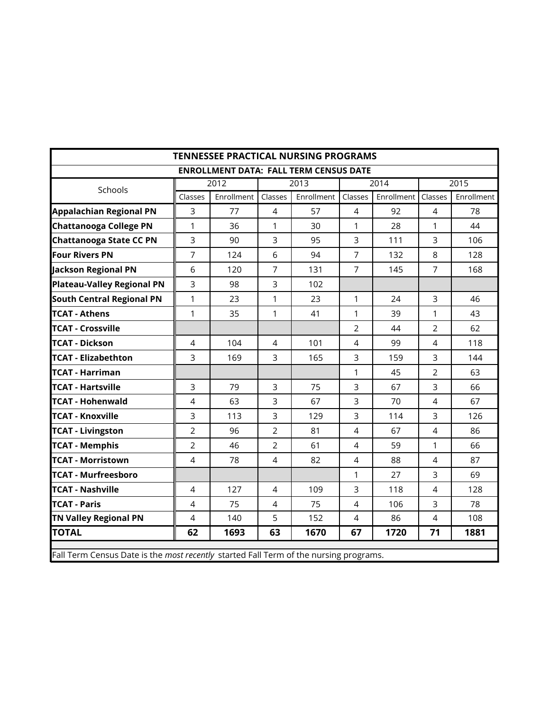| <b>TENNESSEE PRACTICAL NURSING PROGRAMS</b>                                           |                |                                               |                |            |                |            |                |            |  |  |  |  |  |
|---------------------------------------------------------------------------------------|----------------|-----------------------------------------------|----------------|------------|----------------|------------|----------------|------------|--|--|--|--|--|
|                                                                                       |                | <b>ENROLLMENT DATA: FALL TERM CENSUS DATE</b> |                |            |                |            |                |            |  |  |  |  |  |
| Schools                                                                               |                | 2012                                          |                | 2013       |                | 2014       |                | 2015       |  |  |  |  |  |
|                                                                                       | Classes        | Enrollment                                    | Classes        | Enrollment | Classes        | Enrollment | Classes        | Enrollment |  |  |  |  |  |
| <b>Appalachian Regional PN</b>                                                        | 3              | 77                                            | $\overline{4}$ | 57         | 4              | 92         | 4              | 78         |  |  |  |  |  |
| <b>Chattanooga College PN</b>                                                         | $\mathbf{1}$   | 36                                            | $\mathbf{1}$   | 30         | $\mathbf{1}$   | 28         | 1              | 44         |  |  |  |  |  |
| <b>Chattanooga State CC PN</b>                                                        | $\overline{3}$ | 90                                            | $\overline{3}$ | 95         | $\overline{3}$ | 111        | 3              | 106        |  |  |  |  |  |
| <b>Four Rivers PN</b>                                                                 | $\overline{7}$ | 124                                           | 6              | 94         | $\overline{7}$ | 132        | 8              | 128        |  |  |  |  |  |
| Jackson Regional PN                                                                   | 6              | 120                                           | $\overline{7}$ | 131        | $\overline{7}$ | 145        | $\overline{7}$ | 168        |  |  |  |  |  |
| <b>Plateau-Valley Regional PN</b>                                                     | $\overline{3}$ | 98                                            | $\overline{3}$ | 102        |                |            |                |            |  |  |  |  |  |
| <b>South Central Regional PN</b>                                                      | $\mathbf{1}$   | 23                                            | $\mathbf{1}$   | 23         | 1              | 24         | 3              | 46         |  |  |  |  |  |
| <b>TCAT - Athens</b>                                                                  | $\mathbf{1}$   | 35                                            | $\mathbf{1}$   | 41         | $\mathbf{1}$   | 39         | 1              | 43         |  |  |  |  |  |
| <b>TCAT - Crossville</b>                                                              |                |                                               |                |            | $\overline{2}$ | 44         | $\overline{2}$ | 62         |  |  |  |  |  |
| <b>TCAT - Dickson</b>                                                                 | $\overline{4}$ | 104                                           | 4              | 101        | $\overline{4}$ | 99         | $\overline{4}$ | 118        |  |  |  |  |  |
| <b>TCAT - Elizabethton</b>                                                            | 3              | 169                                           | $\overline{3}$ | 165        | 3              | 159        | 3              | 144        |  |  |  |  |  |
| <b>TCAT - Harriman</b>                                                                |                |                                               |                |            | $\mathbf{1}$   | 45         | $\overline{2}$ | 63         |  |  |  |  |  |
| <b>TCAT - Hartsville</b>                                                              | $\overline{3}$ | 79                                            | 3              | 3<br>75    |                | 67         | 3              | 66         |  |  |  |  |  |
| <b>TCAT - Hohenwald</b>                                                               | $\overline{4}$ | 63                                            | 3              | 67         | 3              | 70         | $\overline{4}$ | 67         |  |  |  |  |  |
| <b>TCAT - Knoxville</b>                                                               | $\overline{3}$ | 113                                           | 3              | 129        | $\overline{3}$ | 114        | 3              | 126        |  |  |  |  |  |
| <b>TCAT - Livingston</b>                                                              | $\overline{2}$ | 96                                            | $\overline{2}$ | 81         | $\overline{4}$ | 67         | $\overline{4}$ | 86         |  |  |  |  |  |
| <b>TCAT - Memphis</b>                                                                 | $\overline{2}$ | 46                                            | $\overline{2}$ | 61         | $\overline{4}$ | 59         | 1              | 66         |  |  |  |  |  |
| <b>TCAT - Morristown</b>                                                              | $\overline{4}$ | 78                                            | $\overline{4}$ | 82         | $\overline{4}$ | 88         | $\overline{4}$ | 87         |  |  |  |  |  |
| <b>TCAT - Murfreesboro</b>                                                            |                |                                               |                |            | 1              | 27         | 3              | 69         |  |  |  |  |  |
| <b>TCAT - Nashville</b>                                                               | $\overline{4}$ | 127                                           | 4              | 109        | 3              | 118        | $\overline{4}$ | 128        |  |  |  |  |  |
| <b>TCAT - Paris</b>                                                                   | $\overline{4}$ | 75                                            | $\overline{4}$ | 75         | $\overline{4}$ | 106        | 3              | 78         |  |  |  |  |  |
| <b>TN Valley Regional PN</b>                                                          | $\overline{4}$ | 140                                           | 5              | 152        | $\overline{4}$ | 86         | $\overline{4}$ | 108        |  |  |  |  |  |
| <b>TOTAL</b>                                                                          | 62             | 1693                                          | 63             | 1670       | 67             | 1720       | 71             | 1881       |  |  |  |  |  |
| Fall Term Census Date is the most recently started Fall Term of the nursing programs. |                |                                               |                |            |                |            |                |            |  |  |  |  |  |

Fall Term Census Date is the *most recently* started Fall Term of the nursing programs.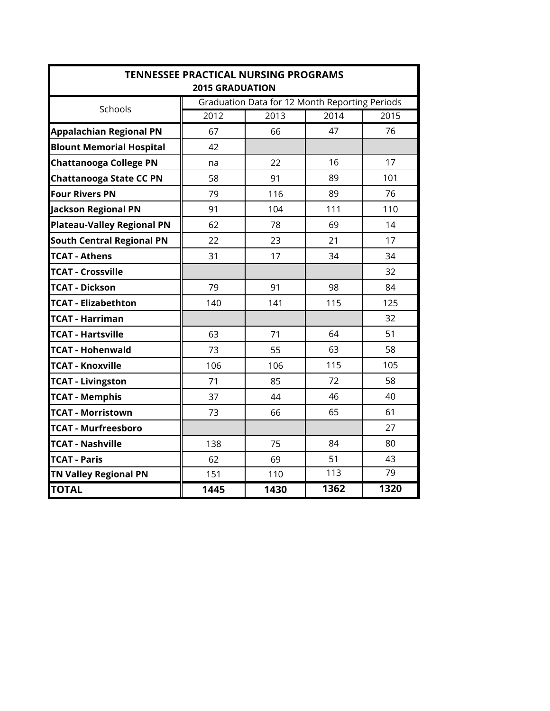| <b>TENNESSEE PRACTICAL NURSING PROGRAMS</b><br><b>2015 GRADUATION</b> |      |                                                |      |      |  |  |  |  |  |  |  |  |  |
|-----------------------------------------------------------------------|------|------------------------------------------------|------|------|--|--|--|--|--|--|--|--|--|
| Schools                                                               |      | Graduation Data for 12 Month Reporting Periods |      |      |  |  |  |  |  |  |  |  |  |
|                                                                       | 2012 | 2013                                           | 2014 | 2015 |  |  |  |  |  |  |  |  |  |
| <b>Appalachian Regional PN</b>                                        | 67   | 66                                             | 47   | 76   |  |  |  |  |  |  |  |  |  |
| <b>Blount Memorial Hospital</b>                                       | 42   |                                                |      |      |  |  |  |  |  |  |  |  |  |
| <b>Chattanooga College PN</b>                                         | na   | 22                                             | 16   | 17   |  |  |  |  |  |  |  |  |  |
| <b>Chattanooga State CC PN</b>                                        | 58   | 91                                             | 89   | 101  |  |  |  |  |  |  |  |  |  |
| <b>Four Rivers PN</b>                                                 | 79   | 116                                            | 89   | 76   |  |  |  |  |  |  |  |  |  |
| Jackson Regional PN                                                   | 91   | 104                                            | 111  | 110  |  |  |  |  |  |  |  |  |  |
| <b>Plateau-Valley Regional PN</b>                                     | 62   | 78                                             | 69   | 14   |  |  |  |  |  |  |  |  |  |
| <b>South Central Regional PN</b>                                      | 22   | 23                                             | 21   | 17   |  |  |  |  |  |  |  |  |  |
| <b>TCAT - Athens</b>                                                  | 31   | 17                                             | 34   | 34   |  |  |  |  |  |  |  |  |  |
| <b>TCAT - Crossville</b>                                              |      |                                                |      | 32   |  |  |  |  |  |  |  |  |  |
| <b>TCAT - Dickson</b>                                                 | 79   | 91                                             | 98   | 84   |  |  |  |  |  |  |  |  |  |
| <b>TCAT - Elizabethton</b>                                            | 140  | 141                                            | 115  | 125  |  |  |  |  |  |  |  |  |  |
| <b>TCAT - Harriman</b>                                                |      |                                                |      | 32   |  |  |  |  |  |  |  |  |  |
| <b>TCAT - Hartsville</b>                                              | 63   | 71                                             | 64   | 51   |  |  |  |  |  |  |  |  |  |
| <b>TCAT - Hohenwald</b>                                               | 73   | 55                                             | 63   | 58   |  |  |  |  |  |  |  |  |  |
| <b>TCAT - Knoxville</b>                                               | 106  | 106                                            | 115  | 105  |  |  |  |  |  |  |  |  |  |
| <b>TCAT - Livingston</b>                                              | 71   | 85                                             | 72   | 58   |  |  |  |  |  |  |  |  |  |
| <b>TCAT - Memphis</b>                                                 | 37   | 44                                             | 46   | 40   |  |  |  |  |  |  |  |  |  |
| <b>TCAT - Morristown</b>                                              | 73   | 66                                             | 65   | 61   |  |  |  |  |  |  |  |  |  |
| <b>TCAT - Murfreesboro</b>                                            |      |                                                |      | 27   |  |  |  |  |  |  |  |  |  |
| <b>TCAT - Nashville</b>                                               | 138  | 75                                             | 84   | 80   |  |  |  |  |  |  |  |  |  |
| <b>TCAT - Paris</b>                                                   | 62   | 69                                             | 51   | 43   |  |  |  |  |  |  |  |  |  |
| <b>TN Valley Regional PN</b>                                          | 151  | 110                                            | 113  | 79   |  |  |  |  |  |  |  |  |  |
| <b>TOTAL</b>                                                          | 1445 | 1430                                           | 1362 | 1320 |  |  |  |  |  |  |  |  |  |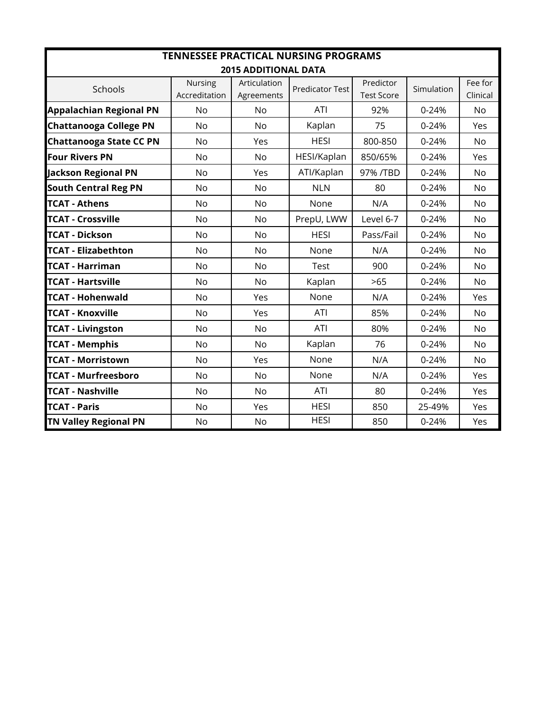| <b>TENNESSEE PRACTICAL NURSING PROGRAMS</b> |                          |                             |                        |                                |            |                     |  |  |  |  |  |  |
|---------------------------------------------|--------------------------|-----------------------------|------------------------|--------------------------------|------------|---------------------|--|--|--|--|--|--|
|                                             |                          | <b>2015 ADDITIONAL DATA</b> |                        |                                |            |                     |  |  |  |  |  |  |
| Schools                                     | Nursing<br>Accreditation | Articulation<br>Agreements  | <b>Predicator Test</b> | Predictor<br><b>Test Score</b> | Simulation | Fee for<br>Clinical |  |  |  |  |  |  |
| <b>Appalachian Regional PN</b>              | No                       | <b>No</b>                   | ATI                    | 92%                            | $0 - 24%$  | <b>No</b>           |  |  |  |  |  |  |
| <b>Chattanooga College PN</b>               | No                       | <b>No</b>                   | Kaplan                 | 75                             | $0 - 24%$  | Yes                 |  |  |  |  |  |  |
| <b>Chattanooga State CC PN</b>              | <b>No</b>                | Yes                         | <b>HESI</b>            | 800-850                        | 0-24%      | <b>No</b>           |  |  |  |  |  |  |
| <b>Four Rivers PN</b>                       | <b>No</b>                | <b>No</b>                   | HESI/Kaplan            | 850/65%                        | $0 - 24%$  | Yes                 |  |  |  |  |  |  |
| <b>Jackson Regional PN</b>                  | <b>No</b>                | Yes                         | ATI/Kaplan             | 97% /TBD                       | $0 - 24%$  | <b>No</b>           |  |  |  |  |  |  |
| <b>South Central Reg PN</b>                 | No                       | <b>No</b>                   | <b>NLN</b>             | 80                             | $0 - 24%$  | <b>No</b>           |  |  |  |  |  |  |
| <b>TCAT - Athens</b>                        | No                       | <b>No</b>                   | None                   | N/A                            | $0 - 24%$  | <b>No</b>           |  |  |  |  |  |  |
| <b>TCAT - Crossville</b>                    | No                       | <b>No</b>                   | PrepU, LWW             | Level 6-7                      | $0 - 24%$  | <b>No</b>           |  |  |  |  |  |  |
| <b>TCAT - Dickson</b>                       | No                       | <b>No</b>                   | <b>HESI</b>            | Pass/Fail                      | 0-24%      | <b>No</b>           |  |  |  |  |  |  |
| <b>TCAT - Elizabethton</b>                  | <b>No</b>                | <b>No</b>                   | None                   | N/A                            | $0 - 24%$  | <b>No</b>           |  |  |  |  |  |  |
| <b>TCAT - Harriman</b>                      | <b>No</b>                | <b>No</b>                   | Test                   | 900                            | $0 - 24%$  | <b>No</b>           |  |  |  |  |  |  |
| <b>TCAT - Hartsville</b>                    | <b>No</b>                | <b>No</b>                   | Kaplan                 | >65                            | $0 - 24%$  | <b>No</b>           |  |  |  |  |  |  |
| <b>TCAT - Hohenwald</b>                     | <b>No</b>                | Yes                         | None                   | N/A                            | $0 - 24%$  | Yes                 |  |  |  |  |  |  |
| <b>TCAT - Knoxville</b>                     | No                       | Yes                         | ATI                    | 85%                            | $0 - 24%$  | <b>No</b>           |  |  |  |  |  |  |
| <b>TCAT - Livingston</b>                    | <b>No</b>                | <b>No</b>                   | <b>ATI</b>             | 80%                            | $0 - 24%$  | <b>No</b>           |  |  |  |  |  |  |
| <b>TCAT - Memphis</b>                       | <b>No</b>                | <b>No</b>                   | Kaplan                 | 76                             | $0 - 24%$  | <b>No</b>           |  |  |  |  |  |  |
| <b>TCAT - Morristown</b>                    | No                       | Yes                         | None                   | N/A                            | $0 - 24%$  | <b>No</b>           |  |  |  |  |  |  |
| <b>TCAT - Murfreesboro</b>                  | <b>No</b>                | No                          | None                   | N/A                            | $0 - 24%$  | Yes                 |  |  |  |  |  |  |
| <b>TCAT - Nashville</b>                     | No                       | No                          | <b>ATI</b>             | 80                             | 0-24%      | Yes                 |  |  |  |  |  |  |
| <b>TCAT - Paris</b>                         | <b>No</b>                | Yes                         | <b>HESI</b>            | 850                            | 25-49%     | Yes                 |  |  |  |  |  |  |
| <b>TN Valley Regional PN</b>                | No                       | <b>No</b>                   | <b>HESI</b>            | 850                            | $0 - 24%$  | Yes                 |  |  |  |  |  |  |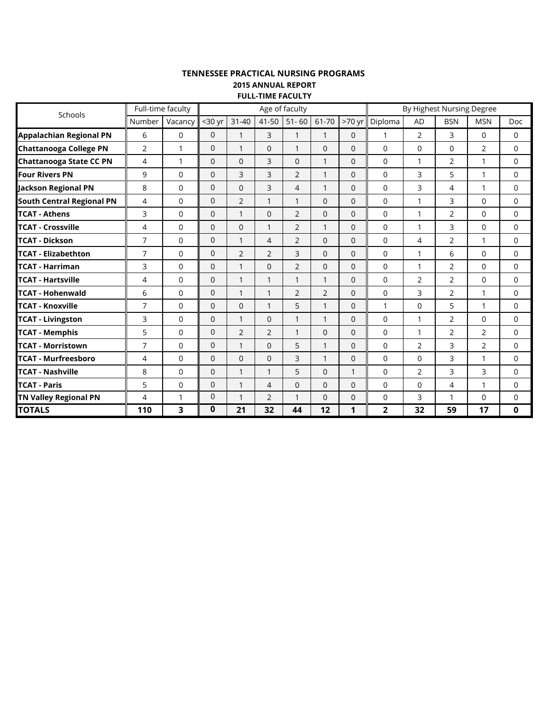## **TENNESSEE PRACTICAL NURSING PROGRAMS FULL-TIME FACULTY 2015 ANNUAL REPORT**

| Schools                          | Full-time faculty |              | Age of faculty |                |                |                |                |              | By Highest Nursing Degree |                |                |                |             |
|----------------------------------|-------------------|--------------|----------------|----------------|----------------|----------------|----------------|--------------|---------------------------|----------------|----------------|----------------|-------------|
|                                  | Number            | Vacancy      | $30$ yr        | $31 - 40$      | $41 - 50$      | $51 - 60$      | 61-70          | $>70$ yr     | Diploma                   | <b>AD</b>      | <b>BSN</b>     | <b>MSN</b>     | <b>Doc</b>  |
| <b>Appalachian Regional PN</b>   | 6                 | $\Omega$     | $\mathbf{0}$   | $\mathbf{1}$   | 3              | 1              | 1              | $\Omega$     | 1                         | 2              | 3              | $\Omega$       | $\Omega$    |
| <b>Chattanooga College PN</b>    | 2                 | $\mathbf{1}$ | $\mathbf 0$    | $\mathbf{1}$   | $\overline{0}$ | $\mathbf{1}$   | $\mathbf 0$    | $\mathbf{0}$ | $\mathbf 0$               | $\mathbf 0$    | $\mathbf 0$    | 2              | $\mathbf 0$ |
| <b>Chattanooga State CC PN</b>   | 4                 | $\mathbf{1}$ | $\Omega$       | $\Omega$       | 3              | $\Omega$       | $\mathbf{1}$   | $\Omega$     | $\Omega$                  | 1              | $\overline{2}$ | 1              | 0           |
| <b>Four Rivers PN</b>            | 9                 | $\Omega$     | $\Omega$       | 3              | 3              | 2              | $\mathbf{1}$   | $\Omega$     | $\Omega$                  | 3              | 5              | $\mathbf{1}$   | $\Omega$    |
| <b>Jackson Regional PN</b>       | 8                 | $\Omega$     | $\mathbf 0$    | $\mathbf 0$    | 3              | 4              | $\mathbf{1}$   | $\Omega$     | $\mathbf 0$               | 3              | 4              | 1              | $\mathbf 0$ |
| <b>South Central Regional PN</b> | 4                 | $\Omega$     | $\mathbf 0$    | $\overline{2}$ | $\mathbf{1}$   | $\mathbf{1}$   | $\Omega$       | $\Omega$     | $\mathbf 0$               | 1              | 3              | 0              | 0           |
| <b>TCAT - Athens</b>             | 3                 | $\Omega$     | $\mathbf 0$    | 1              | $\Omega$       | $\overline{2}$ | 0              | 0            | $\Omega$                  | 1              | $\overline{2}$ | 0              | $\Omega$    |
| <b>TCAT - Crossville</b>         | 4                 | $\Omega$     | $\mathbf{0}$   | $\Omega$       | 1              | $\overline{2}$ | $\mathbf{1}$   | $\Omega$     | $\Omega$                  | 1              | 3              | 0              | $\Omega$    |
| <b>TCAT - Dickson</b>            | $\overline{7}$    | $\Omega$     | $\mathbf 0$    | $\mathbf{1}$   | 4              | $\overline{2}$ | $\Omega$       | $\Omega$     | $\Omega$                  | 4              | $\overline{2}$ | 1              | $\Omega$    |
| <b>TCAT - Elizabethton</b>       | $\overline{7}$    | $\Omega$     | $\mathbf{0}$   | $\overline{2}$ | $\overline{2}$ | 3              | $\Omega$       | $\Omega$     | $\mathbf 0$               | 1              | 6              | 0              | $\mathbf 0$ |
| <b>TCAT - Harriman</b>           | 3                 | $\Omega$     | $\mathbf 0$    | $\mathbf{1}$   | $\Omega$       | $\overline{2}$ | $\mathbf{0}$   | $\Omega$     | $\Omega$                  | 1              | $\overline{2}$ | $\Omega$       | $\Omega$    |
| <b>TCAT - Hartsville</b>         | 4                 | $\mathbf 0$  | $\mathbf 0$    | $\mathbf{1}$   | $\mathbf{1}$   | 1              | $\mathbf{1}$   | $\mathbf{0}$ | $\overline{0}$            | $\overline{2}$ | $\overline{2}$ | 0              | $\mathbf 0$ |
| <b>TCAT - Hohenwald</b>          | 6                 | $\Omega$     | $\mathbf 0$    | $\mathbf{1}$   | 1              | 2              | $\overline{2}$ | $\Omega$     | $\mathbf 0$               | 3              | 2              | 1              | 0           |
| <b>TCAT - Knoxville</b>          | $\overline{7}$    | $\Omega$     | $\mathbf 0$    | $\Omega$       | $\mathbf{1}$   | 5              | $\mathbf{1}$   | $\Omega$     | $\mathbf{1}$              | $\mathbf{0}$   | 5              | 1              | $\Omega$    |
| <b>TCAT - Livingston</b>         | 3                 | $\Omega$     | $\mathbf{0}$   | $\mathbf{1}$   | $\overline{0}$ | $\mathbf{1}$   | $\mathbf{1}$   | $\Omega$     | $\mathbf 0$               | 1              | 2              | 0              | 0           |
| <b>TCAT - Memphis</b>            | 5                 | $\Omega$     | $\mathbf 0$    | $\overline{2}$ | $\overline{2}$ | $\mathbf{1}$   | $\Omega$       | $\Omega$     | $\Omega$                  | 1              | $\overline{2}$ | $\overline{2}$ | $\mathbf 0$ |
| <b>TCAT - Morristown</b>         | $\overline{7}$    | $\mathbf 0$  | $\mathbf{0}$   | 1              | $\overline{0}$ | 5              | $\mathbf{1}$   | $\Omega$     | 0                         | 2              | 3              | $\overline{2}$ | $\mathbf 0$ |
| <b>TCAT - Murfreesboro</b>       | 4                 | $\Omega$     | $\Omega$       | $\Omega$       | $\Omega$       | 3              | $\mathbf{1}$   | $\Omega$     | $\Omega$                  | $\Omega$       | 3              |                | $\Omega$    |
| <b>TCAT - Nashville</b>          | 8                 | $\Omega$     | $\mathbf{0}$   | $\mathbf{1}$   | 1              | 5              | $\Omega$       | 1            | $\Omega$                  | $\overline{2}$ | 3              | 3              | $\Omega$    |
| <b>TCAT - Paris</b>              | 5                 | $\Omega$     | $\mathbf{0}$   | $\mathbf{1}$   | 4              | 0              | 0              | $\Omega$     | $\Omega$                  | $\Omega$       | 4              | 1              | $\Omega$    |
| <b>TN Valley Regional PN</b>     | 4                 | $\mathbf{1}$ | 0              | $\mathbf{1}$   | $\overline{2}$ | $\mathbf{1}$   | $\Omega$       | $\Omega$     | 0                         | 3              | $\mathbf{1}$   | 0              | 0           |
| <b>TOTALS</b>                    | 110               | 3            | 0              | 21             | 32             | 44             | 12             | 1            | $\overline{2}$            | 32             | 59             | 17             | 0           |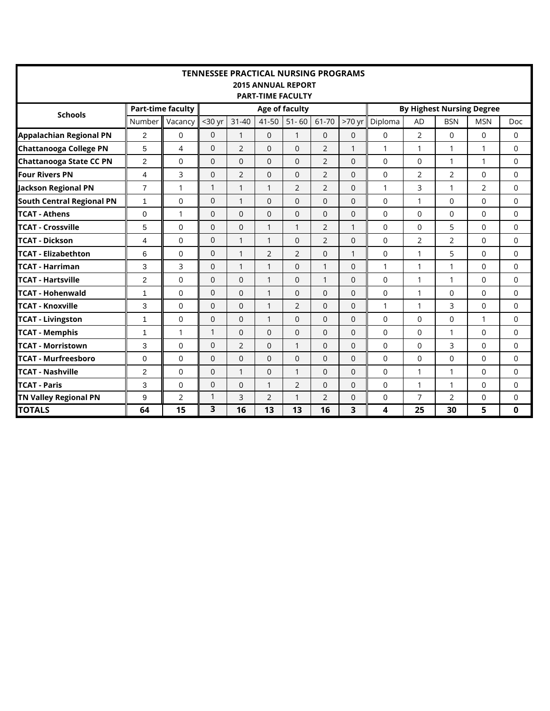| <b>TENNESSEE PRACTICAL NURSING PROGRAMS</b> |                                                                                                            |          |                |                |                |                |                |              |                |                |                |                |             |  |
|---------------------------------------------|------------------------------------------------------------------------------------------------------------|----------|----------------|----------------|----------------|----------------|----------------|--------------|----------------|----------------|----------------|----------------|-------------|--|
| <b>2015 ANNUAL REPORT</b>                   |                                                                                                            |          |                |                |                |                |                |              |                |                |                |                |             |  |
|                                             | <b>PART-TIME FACULTY</b><br><b>Part-time faculty</b><br><b>By Highest Nursing Degree</b><br>Age of faculty |          |                |                |                |                |                |              |                |                |                |                |             |  |
| <b>Schools</b>                              |                                                                                                            |          |                |                |                |                |                |              |                |                |                |                |             |  |
|                                             | Number                                                                                                     | Vacancy  | $30$ yr        | $31 - 40$      | 41-50          | $51 - 60$      | 61-70          | $>70$ yr     | Diploma        | <b>AD</b>      | <b>BSN</b>     | <b>MSN</b>     | Doc         |  |
| <b>Appalachian Regional PN</b>              | $\overline{2}$                                                                                             | $\Omega$ | $\Omega$       | $\mathbf{1}$   | $\Omega$       | $\mathbf{1}$   | $\Omega$       | $\Omega$     | $\Omega$       | 2              | $\Omega$       | 0              | $\Omega$    |  |
| <b>Chattanooga College PN</b>               | 5                                                                                                          | 4        | $\overline{0}$ | $\overline{2}$ | $\Omega$       | $\Omega$       | $\overline{2}$ | $\mathbf{1}$ | 1              | 1              | $\mathbf{1}$   | $\mathbf{1}$   | $\mathbf 0$ |  |
| <b>Chattanooga State CC PN</b>              | $\overline{c}$                                                                                             | $\Omega$ | $\mathbf{0}$   | $\Omega$       | $\Omega$       | $\Omega$       | $\overline{2}$ | $\Omega$     | 0              | 0              | 1              | 1              | $\Omega$    |  |
| <b>Four Rivers PN</b>                       | $\overline{4}$                                                                                             | 3        | $\overline{0}$ | $\overline{2}$ | $\Omega$       | $\Omega$       | $\overline{2}$ | $\Omega$     | $\mathbf 0$    | 2              | $\overline{2}$ | 0              | $\mathbf 0$ |  |
| <b>Jackson Regional PN</b>                  | $\overline{7}$                                                                                             | 1        | $\mathbf{1}$   | $\mathbf{1}$   | $\mathbf{1}$   | $\overline{2}$ | $\overline{2}$ | $\Omega$     | 1              | 3              | 1              | $\overline{2}$ | $\mathbf 0$ |  |
| <b>South Central Regional PN</b>            | $\mathbf{1}$                                                                                               | $\Omega$ | $\mathbf{0}$   | $\mathbf{1}$   | $\Omega$       | $\Omega$       | $\Omega$       | $\Omega$     | 0              | $\mathbf{1}$   | $\Omega$       | 0              | $\Omega$    |  |
| <b>TCAT - Athens</b>                        | 0                                                                                                          | 1        | $\mathbf{0}$   | $\Omega$       | $\Omega$       | $\Omega$       | $\Omega$       | $\Omega$     | 0              | $\Omega$       | $\Omega$       | 0              | $\Omega$    |  |
| <b>TCAT - Crossville</b>                    | 5                                                                                                          | $\Omega$ | $\overline{0}$ | $\overline{0}$ | $\mathbf{1}$   | 1              | $\overline{2}$ |              | 0              | $\mathbf 0$    | 5              | 0              | $\Omega$    |  |
| <b>TCAT - Dickson</b>                       | 4                                                                                                          | 0        | $\overline{0}$ | $\mathbf{1}$   | $\mathbf{1}$   | $\Omega$       | $\overline{2}$ | $\mathbf 0$  | $\mathbf 0$    | $\overline{2}$ | $\overline{2}$ | 0              | $\mathbf 0$ |  |
| <b>TCAT - Elizabethton</b>                  | 6                                                                                                          | $\Omega$ | $\overline{0}$ | $\mathbf{1}$   | $\overline{2}$ | $\overline{2}$ | 0              | $\mathbf{1}$ | 0              | 1              | 5              | 0              | $\Omega$    |  |
| <b>TCAT - Harriman</b>                      | 3                                                                                                          | 3        | $\mathbf{0}$   | $\mathbf{1}$   | $\mathbf{1}$   | $\overline{0}$ | 1              | $\mathbf 0$  | 1              | 1              | 1              | 0              | 0           |  |
| <b>TCAT - Hartsville</b>                    | $\overline{c}$                                                                                             | $\Omega$ | $\mathbf{0}$   | $\Omega$       | $\mathbf{1}$   | $\Omega$       | 1              | $\Omega$     | 0              | 1              | 1              | 0              | $\Omega$    |  |
| <b>TCAT - Hohenwald</b>                     | $\mathbf{1}$                                                                                               | 0        | $\mathbf 0$    | $\overline{0}$ | $\mathbf{1}$   | $\mathbf 0$    | $\Omega$       | $\mathbf 0$  | $\mathbf 0$    | 1              | $\mathbf 0$    | 0              | $\mathbf 0$ |  |
| <b>TCAT - Knoxville</b>                     | 3                                                                                                          | $\Omega$ | $\Omega$       | $\Omega$       | $\mathbf{1}$   | $\overline{2}$ | $\Omega$       | $\Omega$     | 1              | $\mathbf{1}$   | 3              | $\Omega$       | $\Omega$    |  |
| <b>TCAT - Livingston</b>                    | $\mathbf{1}$                                                                                               | $\Omega$ | 0              | $\Omega$       | $\mathbf{1}$   | $\Omega$       | $\Omega$       | $\Omega$     | $\overline{0}$ | $\Omega$       | $\Omega$       | 1              | $\Omega$    |  |
| <b>TCAT - Memphis</b>                       | 1                                                                                                          | 1        | 1              | $\mathbf 0$    | $\Omega$       | $\Omega$       | 0              | $\Omega$     | 0              | $\Omega$       | 1              | 0              | $\Omega$    |  |
| <b>TCAT - Morristown</b>                    | 3                                                                                                          | $\Omega$ | $\overline{0}$ | $\overline{2}$ | $\Omega$       | 1              | 0              | $\Omega$     | $\overline{0}$ | $\Omega$       | 3              | 0              | $\Omega$    |  |
| <b>TCAT - Murfreesboro</b>                  | $\mathbf 0$                                                                                                | 0        | $\overline{0}$ | $\overline{0}$ | $\Omega$       | $\Omega$       | 0              | $\mathbf 0$  | $\overline{0}$ | $\mathbf 0$    | $\mathbf 0$    | 0              | $\mathbf 0$ |  |
| <b>TCAT - Nashville</b>                     | 2                                                                                                          | $\Omega$ | $\Omega$       | $\mathbf{1}$   | $\Omega$       | $\mathbf{1}$   | $\Omega$       | $\Omega$     | $\Omega$       | 1              | $\mathbf{1}$   | 0              | $\Omega$    |  |
| <b>TCAT - Paris</b>                         | 3                                                                                                          | 0        | 0              | $\mathbf 0$    | $\mathbf{1}$   | $\overline{2}$ | 0              | $\mathbf 0$  | 0              | 1              | 1              | 0              | $\mathbf 0$ |  |
| <b>TN Valley Regional PN</b>                | 9                                                                                                          | 2        | 1              | 3              | 2              | 1              | $\overline{2}$ | $\Omega$     | $\mathbf 0$    | 7              | 2              | 0              | $\Omega$    |  |
| <b>TOTALS</b>                               | 64                                                                                                         | 15       | 3              | 16             | 13             | 13             | 16             | 3            | 4              | 25             | 30             | 5              | $\mathbf 0$ |  |